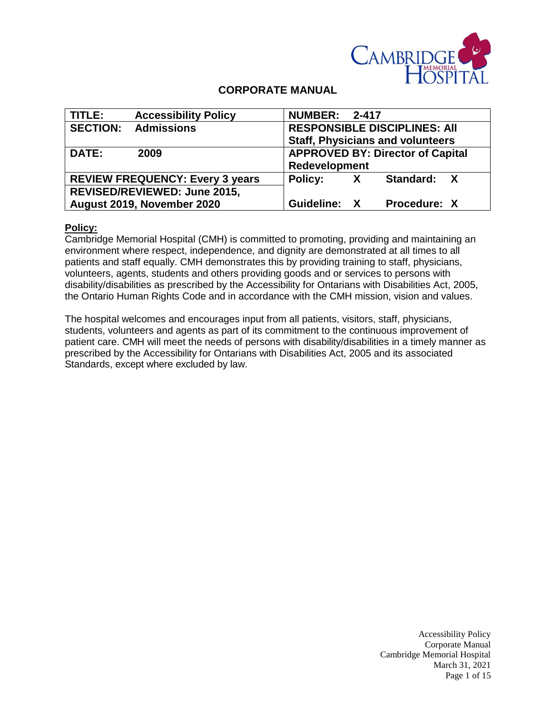

# **CORPORATE MANUAL**

| TITLE:                                 | <b>Accessibility Policy</b> | <b>NUMBER: 2-417</b>                |    |                                         |  |
|----------------------------------------|-----------------------------|-------------------------------------|----|-----------------------------------------|--|
| <b>SECTION:</b>                        | <b>Admissions</b>           | <b>RESPONSIBLE DISCIPLINES: AII</b> |    |                                         |  |
|                                        |                             |                                     |    | <b>Staff, Physicians and volunteers</b> |  |
| DATE:                                  | 2009                        |                                     |    | <b>APPROVED BY: Director of Capital</b> |  |
|                                        |                             | Redevelopment                       |    |                                         |  |
| <b>REVIEW FREQUENCY: Every 3 years</b> |                             | <b>Policy:</b>                      | X. | Standard: X                             |  |
| REVISED/REVIEWED: June 2015,           |                             |                                     |    |                                         |  |
| August 2019, November 2020             |                             | Guideline: X                        |    | Procedure: X                            |  |

#### **Policy:**

Cambridge Memorial Hospital (CMH) is committed to promoting, providing and maintaining an environment where respect, independence, and dignity are demonstrated at all times to all patients and staff equally. CMH demonstrates this by providing training to staff, physicians, volunteers, agents, students and others providing goods and or services to persons with disability/disabilities as prescribed by the Accessibility for Ontarians with Disabilities Act, 2005, the Ontario Human Rights Code and in accordance with the CMH mission, vision and values.

The hospital welcomes and encourages input from all patients, visitors, staff, physicians, students, volunteers and agents as part of its commitment to the continuous improvement of patient care. CMH will meet the needs of persons with disability/disabilities in a timely manner as prescribed by the Accessibility for Ontarians with Disabilities Act, 2005 and its associated Standards, except where excluded by law.

> Accessibility Policy Corporate Manual Cambridge Memorial Hospital March 31, 2021 Page 1 of 15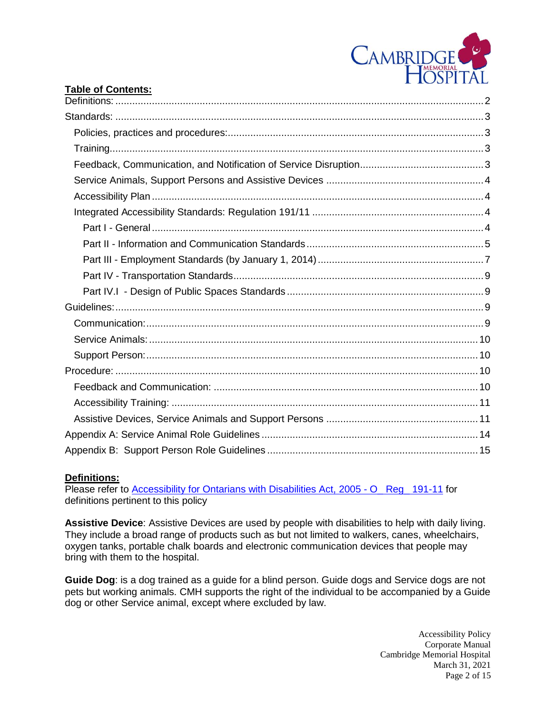

## **Table of Contents:**

## **Definitions:**

Please refer to [Accessibility for Ontarians with Disabilities Act, 2005 -](file://///cmhfile1/interdeptmtl/Accessibility/Integrated%20Accessibility%20Regulation/IAR%20policy/Accessibility%20for%20Ontarians%20with%20Disabilities%20Act,%202005%20-%20O_%20Reg_%20191-11.htm) O\_ Reg\_ 191-11 for definitions pertinent to this policy

**Assistive Device**: Assistive Devices are used by people with disabilities to help with daily living. They include a broad range of products such as but not limited to walkers, canes, wheelchairs, oxygen tanks, portable chalk boards and electronic communication devices that people may bring with them to the hospital.

**Guide Dog**: is a dog trained as a guide for a blind person. Guide dogs and Service dogs are not pets but working animals. CMH supports the right of the individual to be accompanied by a Guide dog or other Service animal, except where excluded by law.

> Accessibility Policy Corporate Manual Cambridge Memorial Hospital March 31, 2021 Page 2 of 15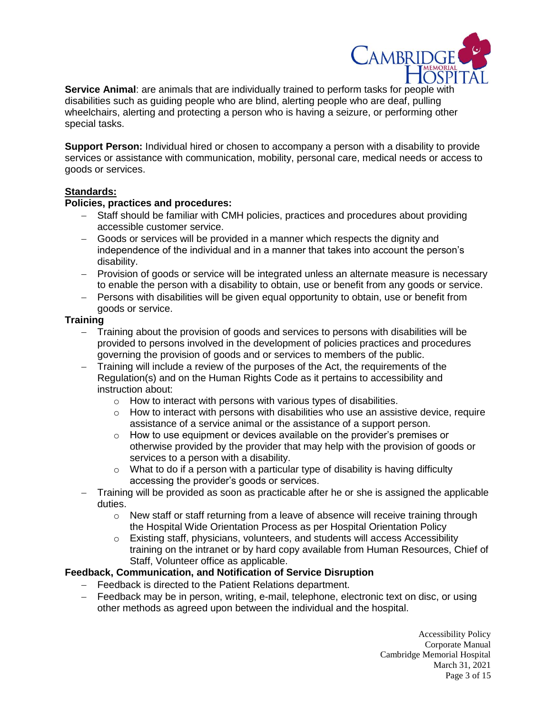

**Service Animal**: are animals that are individually trained to perform tasks for people with disabilities such as guiding people who are blind, alerting people who are deaf, pulling wheelchairs, alerting and protecting a person who is having a seizure, or performing other special tasks.

**Support Person:** Individual hired or chosen to accompany a person with a disability to provide services or assistance with communication, mobility, personal care, medical needs or access to goods or services.

## **Standards:**

## **Policies, practices and procedures:**

- Staff should be familiar with CMH policies, practices and procedures about providing accessible customer service.
- Goods or services will be provided in a manner which respects the dignity and independence of the individual and in a manner that takes into account the person's disability.
- Provision of goods or service will be integrated unless an alternate measure is necessary to enable the person with a disability to obtain, use or benefit from any goods or service.
- Persons with disabilities will be given equal opportunity to obtain, use or benefit from goods or service.

## **Training**

- Training about the provision of goods and services to persons with disabilities will be provided to persons involved in the development of policies practices and procedures governing the provision of goods and or services to members of the public.
- Training will include a review of the purposes of the Act, the requirements of the Regulation(s) and on the Human Rights Code as it pertains to accessibility and instruction about:
	- $\circ$  How to interact with persons with various types of disabilities.
	- $\circ$  How to interact with persons with disabilities who use an assistive device, require assistance of a service animal or the assistance of a support person.
	- o How to use equipment or devices available on the provider's premises or otherwise provided by the provider that may help with the provision of goods or services to a person with a disability.
	- $\circ$  What to do if a person with a particular type of disability is having difficulty accessing the provider's goods or services.
- Training will be provided as soon as practicable after he or she is assigned the applicable duties.
	- $\circ$  New staff or staff returning from a leave of absence will receive training through the Hospital Wide Orientation Process as per Hospital Orientation Policy
	- o Existing staff, physicians, volunteers, and students will access Accessibility training on the intranet or by hard copy available from Human Resources, Chief of Staff, Volunteer office as applicable.

# **Feedback, Communication, and Notification of Service Disruption**

- Feedback is directed to the Patient Relations department.
- Feedback may be in person, writing, e-mail, telephone, electronic text on disc, or using other methods as agreed upon between the individual and the hospital.

Accessibility Policy Corporate Manual Cambridge Memorial Hospital March 31, 2021 Page 3 of 15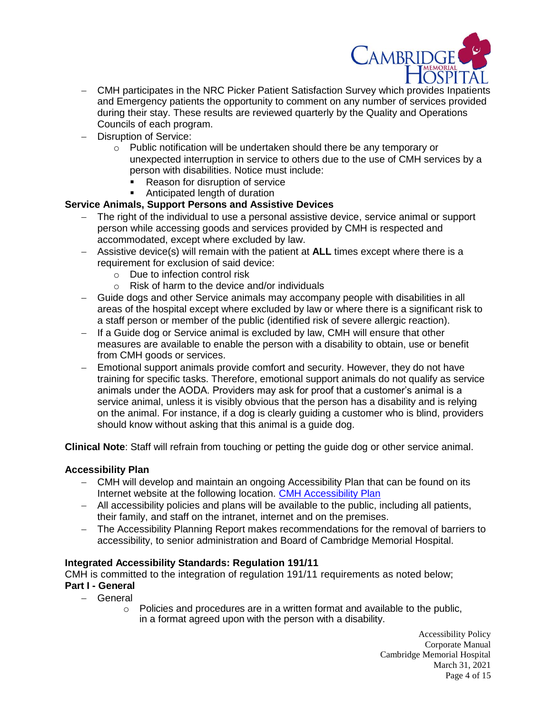

- CMH participates in the NRC Picker Patient Satisfaction Survey which provides Inpatients and Emergency patients the opportunity to comment on any number of services provided during their stay. These results are reviewed quarterly by the Quality and Operations Councils of each program.
- Disruption of Service:
	- o Public notification will be undertaken should there be any temporary or unexpected interruption in service to others due to the use of CMH services by a person with disabilities. Notice must include:
		- Reason for disruption of service
		- Anticipated length of duration

## **Service Animals, Support Persons and Assistive Devices**

- The right of the individual to use a personal assistive device, service animal or support person while accessing goods and services provided by CMH is respected and accommodated, except where excluded by law.
- Assistive device(s) will remain with the patient at **ALL** times except where there is a requirement for exclusion of said device:
	- o Due to infection control risk
	- o Risk of harm to the device and/or individuals
- Guide dogs and other Service animals may accompany people with disabilities in all areas of the hospital except where excluded by law or where there is a significant risk to a staff person or member of the public (identified risk of severe allergic reaction).
- If a Guide dog or Service animal is excluded by law, CMH will ensure that other measures are available to enable the person with a disability to obtain, use or benefit from CMH goods or services.
- Emotional support animals provide comfort and security. However, they do not have training for specific tasks. Therefore, emotional support animals do not qualify as service animals under the AODA. Providers may ask for proof that a customer's animal is a service animal, unless it is visibly obvious that the person has a disability and is relying on the animal. For instance, if a dog is clearly guiding a customer who is blind, providers should know without asking that this animal is a guide dog.

**Clinical Note**: Staff will refrain from touching or petting the guide dog or other service animal.

#### **Accessibility Plan**

- CMH will develop and maintain an ongoing Accessibility Plan that can be found on its Internet website at the following location. [CMH Accessibility Plan](https://www.cmh.org/sites/default/files/page-assets/patients-visitors/accessibility-services/accessibility-plan-2018-2022-final-approved-46288.pdf)
- All accessibility policies and plans will be available to the public, including all patients, their family, and staff on the intranet, internet and on the premises.
- The Accessibility Planning Report makes recommendations for the removal of barriers to accessibility, to senior administration and Board of Cambridge Memorial Hospital.

#### **Integrated Accessibility Standards: Regulation 191/11**

CMH is committed to the integration of regulation 191/11 requirements as noted below;

#### **Part I - General**

- General
	- o Policies and procedures are in a written format and available to the public, in a format agreed upon with the person with a disability.

Accessibility Policy Corporate Manual Cambridge Memorial Hospital March 31, 2021 Page 4 of 15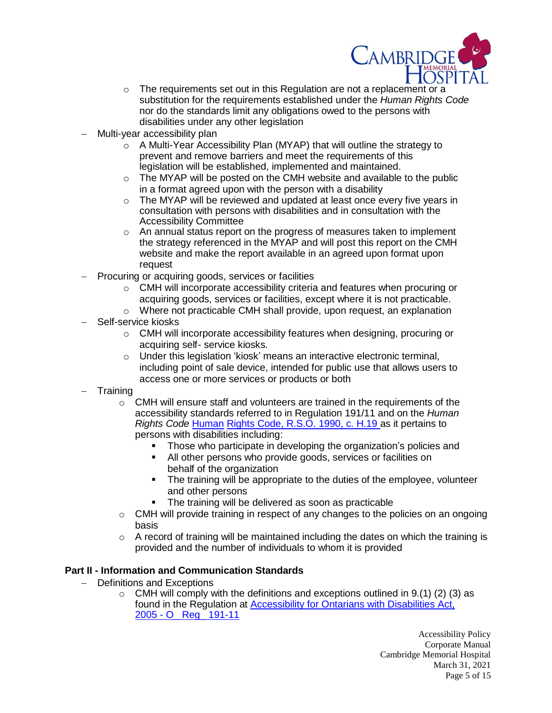

- o The requirements set out in this Regulation are not a replacement or a substitution for the requirements established under the *Human Rights Code* nor do the standards limit any obligations owed to the persons with disabilities under any other legislation
- Multi-year accessibility plan
	- $\circ$  A Multi-Year Accessibility Plan (MYAP) that will outline the strategy to prevent and remove barriers and meet the requirements of this legislation will be established, implemented and maintained.
	- o The MYAP will be posted on the CMH website and available to the public in a format agreed upon with the person with a disability
	- o The MYAP will be reviewed and updated at least once every five years in consultation with persons with disabilities and in consultation with the Accessibility Committee
	- o An annual status report on the progress of measures taken to implement the strategy referenced in the MYAP and will post this report on the CMH website and make the report available in an agreed upon format upon request
- Procuring or acquiring goods, services or facilities
	- o CMH will incorporate accessibility criteria and features when procuring or acquiring goods, services or facilities, except where it is not practicable.
	- o Where not practicable CMH shall provide, upon request, an explanation
- Self-service kiosks
	- o CMH will incorporate accessibility features when designing, procuring or acquiring self- service kiosks.
	- o Under this legislation 'kiosk' means an interactive electronic terminal, including point of sale device, intended for public use that allows users to access one or more services or products or both
- **Training** 
	- o CMH will ensure staff and volunteers are trained in the requirements of the accessibility standards referred to in Regulation 191/11 and on the *Human Rights Code* [Human](http://www.e-laws.gov.on.ca/html/statutes/english/elaws_statutes_90h19_e.htm) Rights Code, [R.S.O.](http://www.e-laws.gov.on.ca/html/statutes/english/elaws_statutes_90h19_e.htm) 1990, c. H.19 as it pertains to persons with disabilities including:
		- Those who participate in developing the organization's policies and
		- All other persons who provide goods, services or facilities on behalf of the organization
		- The training will be appropriate to the duties of the employee, volunteer and other persons
		- The training will be delivered as soon as practicable
	- $\circ$  CMH will provide training in respect of any changes to the policies on an ongoing basis
	- $\circ$  A record of training will be maintained including the dates on which the training is provided and the number of individuals to whom it is provided

#### **Part II - Information and Communication Standards**

- Definitions and Exceptions
	- $\circ$  CMH will comply with the definitions and exceptions outlined in 9.(1) (2) (3) as found in the Regulation at **Accessibility for Ontarians with Disabilities Act**, 2005 - [O\\_ Reg\\_ 191-11](file://///cmhfile1/interdeptmtl/Accessibility/Integrated%20Accessibility%20Regulation/IAR%20policy/Accessibility%20for%20Ontarians%20with%20Disabilities%20Act,%202005%20-%20O_%20Reg_%20191-11.htm)

Accessibility Policy Corporate Manual Cambridge Memorial Hospital March 31, 2021 Page 5 of 15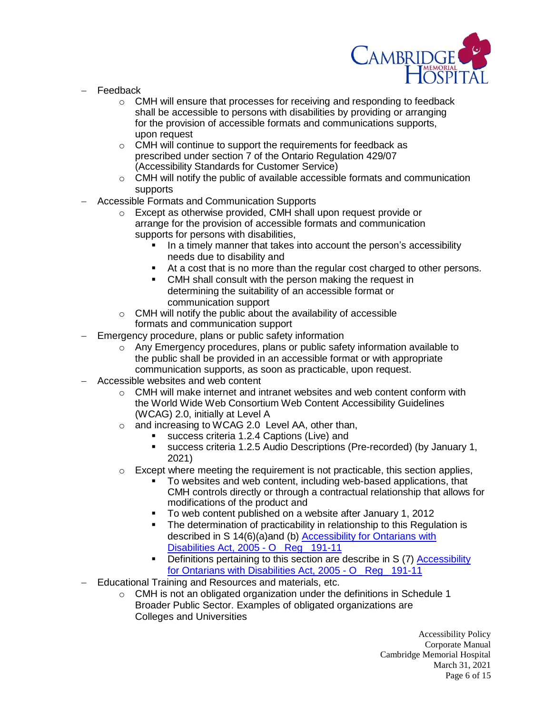

- Feedback
	- o CMH will ensure that processes for receiving and responding to feedback shall be accessible to persons with disabilities by providing or arranging for the provision of accessible formats and communications supports, upon request
	- o CMH will continue to support the requirements for feedback as prescribed under section 7 of the Ontario Regulation 429/07 (Accessibility Standards for Customer Service)
	- $\circ$  CMH will notify the public of available accessible formats and communication supports
- Accessible Formats and Communication Supports
	- o Except as otherwise provided, CMH shall upon request provide or arrange for the provision of accessible formats and communication supports for persons with disabilities,
		- In a timely manner that takes into account the person's accessibility needs due to disability and
		- At a cost that is no more than the regular cost charged to other persons.
		- CMH shall consult with the person making the request in determining the suitability of an accessible format or communication support
	- o CMH will notify the public about the availability of accessible formats and communication support
- Emergency procedure, plans or public safety information
	- $\circ$  Any Emergency procedures, plans or public safety information available to the public shall be provided in an accessible format or with appropriate communication supports, as soon as practicable, upon request.
- Accessible websites and web content
	- $\circ$  CMH will make internet and intranet websites and web content conform with the World Wide Web Consortium Web Content Accessibility Guidelines (WCAG) 2.0, initially at Level A
	- o and increasing to WCAG 2.0 Level AA, other than,
		- success criteria 1.2.4 Captions (Live) and
		- success criteria 1.2.5 Audio Descriptions (Pre-recorded) (by January 1, 2021)
	- $\circ$  Except where meeting the requirement is not practicable, this section applies,
		- To websites and web content, including web-based applications, that CMH controls directly or through a contractual relationship that allows for modifications of the product and
		- To web content published on a website after January 1, 2012
		- The determination of practicability in relationship to this Regulation is described in S 14(6)(a)and (b) [Accessibility for Ontarians with](file://///cmhfile1/interdeptmtl/Accessibility/Integrated%20Accessibility%20Regulation/IAR%20policy/Accessibility%20for%20Ontarians%20with%20Disabilities%20Act,%202005%20-%20O_%20Reg_%20191-11.htm)  [Disabilities Act, 2005 -](file://///cmhfile1/interdeptmtl/Accessibility/Integrated%20Accessibility%20Regulation/IAR%20policy/Accessibility%20for%20Ontarians%20with%20Disabilities%20Act,%202005%20-%20O_%20Reg_%20191-11.htm) O\_ Reg\_ 191-11
		- Definitions pertaining to this section are describe in S (7) [Accessibility](file://///cmhfile1/interdeptmtl/Accessibility/Integrated%20Accessibility%20Regulation/IAR%20policy/Accessibility%20for%20Ontarians%20with%20Disabilities%20Act,%202005%20-%20O_%20Reg_%20191-11.htm)  [for Ontarians with Disabilities Act, 2005 -](file://///cmhfile1/interdeptmtl/Accessibility/Integrated%20Accessibility%20Regulation/IAR%20policy/Accessibility%20for%20Ontarians%20with%20Disabilities%20Act,%202005%20-%20O_%20Reg_%20191-11.htm) O\_ Reg\_ 191-11
- Educational Training and Resources and materials, etc.
	- o CMH is not an obligated organization under the definitions in Schedule 1 Broader Public Sector. Examples of obligated organizations are Colleges and Universities

Accessibility Policy Corporate Manual Cambridge Memorial Hospital March 31, 2021 Page 6 of 15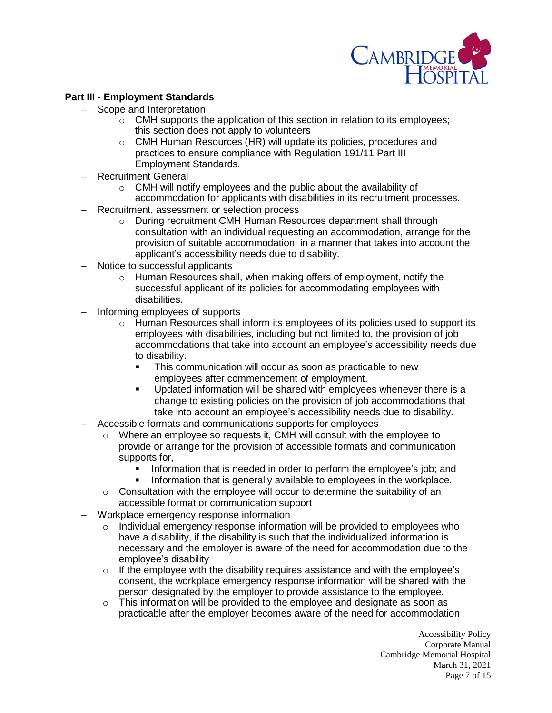

## **Part III - Employment Standards**

- Scope and Interpretation
	- $\circ$  CMH supports the application of this section in relation to its employees; this section does not apply to volunteers
	- o CMH Human Resources (HR) will update its policies, procedures and practices to ensure compliance with Regulation 191/11 Part III Employment Standards.
- Recruitment General
	- o CMH will notify employees and the public about the availability of accommodation for applicants with disabilities in its recruitment processes.
- Recruitment, assessment or selection process
	- o During recruitment CMH Human Resources department shall through consultation with an individual requesting an accommodation, arrange for the provision of suitable accommodation, in a manner that takes into account the applicant's accessibility needs due to disability.
- Notice to successful applicants
	- o Human Resources shall, when making offers of employment, notify the successful applicant of its policies for accommodating employees with disabilities.
- Informing employees of supports
	- $\circ$  Human Resources shall inform its employees of its policies used to support its employees with disabilities, including but not limited to, the provision of job accommodations that take into account an employee's accessibility needs due to disability.
		- This communication will occur as soon as practicable to new employees after commencement of employment.
		- **Updated information will be shared with employees whenever there is a** change to existing policies on the provision of job accommodations that take into account an employee's accessibility needs due to disability.
- Accessible formats and communications supports for employees
	- $\circ$  Where an employee so requests it, CMH will consult with the employee to provide or arrange for the provision of accessible formats and communication supports for,
		- Information that is needed in order to perform the employee's job; and<br>Information that is generally available to employees in the workplace
		- Information that is generally available to employees in the workplace.
	- $\circ$  Consultation with the employee will occur to determine the suitability of an accessible format or communication support
- Workplace emergency response information
	- $\circ$  Individual emergency response information will be provided to employees who have a disability, if the disability is such that the individualized information is necessary and the employer is aware of the need for accommodation due to the employee's disability
	- o If the employee with the disability requires assistance and with the employee's consent, the workplace emergency response information will be shared with the person designated by the employer to provide assistance to the employee.
	- $\circ$  This information will be provided to the employee and designate as soon as practicable after the employer becomes aware of the need for accommodation

Accessibility Policy Corporate Manual Cambridge Memorial Hospital March 31, 2021 Page 7 of 15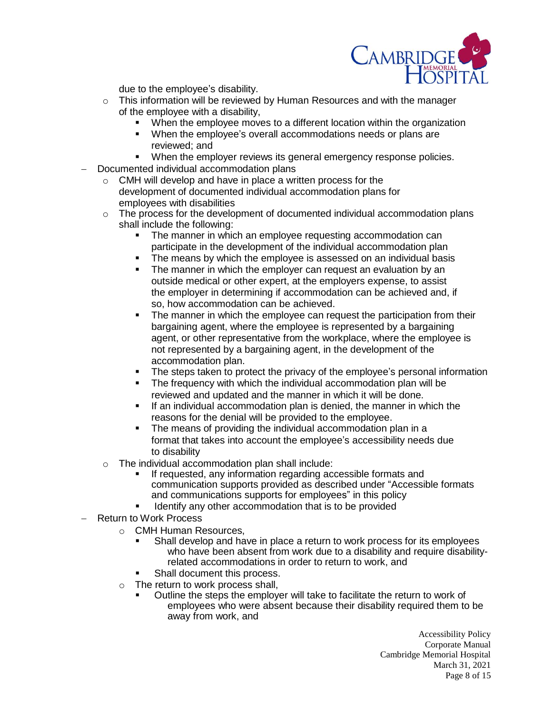

due to the employee's disability.

- $\circ$  This information will be reviewed by Human Resources and with the manager of the employee with a disability,
	- When the employee moves to a different location within the organization
	- When the employee's overall accommodations needs or plans are reviewed; and
	- When the employer reviews its general emergency response policies.
- Documented individual accommodation plans
	- o CMH will develop and have in place a written process for the development of documented individual accommodation plans for employees with disabilities
	- $\circ$  The process for the development of documented individual accommodation plans shall include the following:
		- The manner in which an employee requesting accommodation can participate in the development of the individual accommodation plan
		- The means by which the employee is assessed on an individual basis
		- The manner in which the employer can request an evaluation by an outside medical or other expert, at the employers expense, to assist the employer in determining if accommodation can be achieved and, if so, how accommodation can be achieved.
		- The manner in which the employee can request the participation from their bargaining agent, where the employee is represented by a bargaining agent, or other representative from the workplace, where the employee is not represented by a bargaining agent, in the development of the accommodation plan.
		- The steps taken to protect the privacy of the employee's personal information
		- The frequency with which the individual accommodation plan will be reviewed and updated and the manner in which it will be done.
		- If an individual accommodation plan is denied, the manner in which the reasons for the denial will be provided to the employee.
		- The means of providing the individual accommodation plan in a format that takes into account the employee's accessibility needs due to disability
	- $\circ$  The individual accommodation plan shall include:
		- If requested, any information regarding accessible formats and communication supports provided as described under "Accessible formats and communications supports for employees" in this policy
		- Identify any other accommodation that is to be provided
- Return to Work Process
	- o CMH Human Resources,
		- Shall develop and have in place a return to work process for its employees who have been absent from work due to a disability and require disabilityrelated accommodations in order to return to work, and
		- Shall document this process.
	- o The return to work process shall,
		- Outline the steps the employer will take to facilitate the return to work of employees who were absent because their disability required them to be away from work, and

Accessibility Policy Corporate Manual Cambridge Memorial Hospital March 31, 2021 Page 8 of 15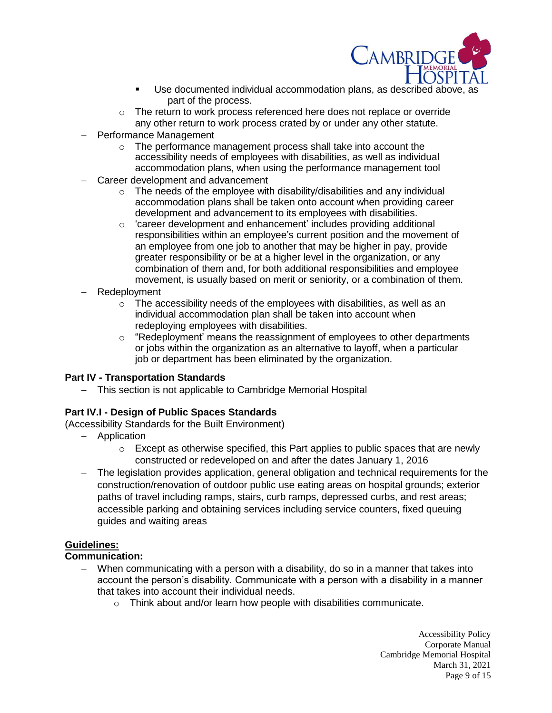

- Use documented individual accommodation plans, as described above, as part of the process.
- o The return to work process referenced here does not replace or override any other return to work process crated by or under any other statute.
- Performance Management
	- o The performance management process shall take into account the accessibility needs of employees with disabilities, as well as individual accommodation plans, when using the performance management tool
- Career development and advancement
	- $\circ$  The needs of the employee with disability/disabilities and any individual accommodation plans shall be taken onto account when providing career development and advancement to its employees with disabilities.
	- o 'career development and enhancement' includes providing additional responsibilities within an employee's current position and the movement of an employee from one job to another that may be higher in pay, provide greater responsibility or be at a higher level in the organization, or any combination of them and, for both additional responsibilities and employee movement, is usually based on merit or seniority, or a combination of them.
- Redeployment
	- o The accessibility needs of the employees with disabilities, as well as an individual accommodation plan shall be taken into account when redeploying employees with disabilities.
	- o "Redeployment' means the reassignment of employees to other departments or jobs within the organization as an alternative to layoff, when a particular job or department has been eliminated by the organization.

## **Part IV - Transportation Standards**

- This section is not applicable to Cambridge Memorial Hospital

# **Part IV.I - Design of Public Spaces Standards**

(Accessibility Standards for the Built Environment)

- Application
	- $\circ$  Except as otherwise specified, this Part applies to public spaces that are newly constructed or redeveloped on and after the dates January 1, 2016
- The legislation provides application, general obligation and technical requirements for the construction/renovation of outdoor public use eating areas on hospital grounds; exterior paths of travel including ramps, stairs, curb ramps, depressed curbs, and rest areas; accessible parking and obtaining services including service counters, fixed queuing guides and waiting areas

# **Guidelines:**

## **Communication:**

- When communicating with a person with a disability, do so in a manner that takes into account the person's disability. Communicate with a person with a disability in a manner that takes into account their individual needs.
	- o Think about and/or learn how people with disabilities communicate.

Accessibility Policy Corporate Manual Cambridge Memorial Hospital March 31, 2021 Page 9 of 15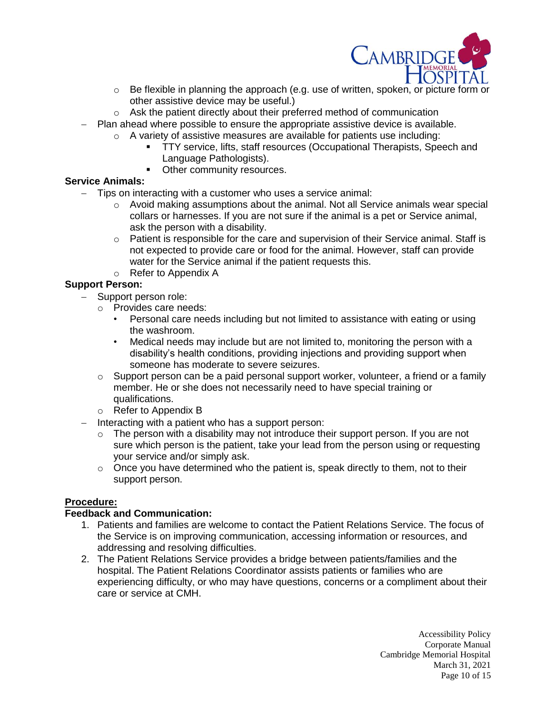

- o Be flexible in planning the approach (e.g. use of written, spoken, or picture form or other assistive device may be useful.)
- o Ask the patient directly about their preferred method of communication
- Plan ahead where possible to ensure the appropriate assistive device is available.
	- $\circ$  A variety of assistive measures are available for patients use including:
		- TTY service, lifts, staff resources (Occupational Therapists, Speech and Language Pathologists).
		- Other community resources.

# **Service Animals:**

- Tips on interacting with a customer who uses a service animal:
	- $\circ$  Avoid making assumptions about the animal. Not all Service animals wear special collars or harnesses. If you are not sure if the animal is a pet or Service animal, ask the person with a disability.
	- $\circ$  Patient is responsible for the care and supervision of their Service animal. Staff is not expected to provide care or food for the animal. However, staff can provide water for the Service animal if the patient requests this.
	- o Refer to Appendix A

# **Support Person:**

- Support person role:
	- o Provides care needs:
		- Personal care needs including but not limited to assistance with eating or using the washroom.
		- Medical needs may include but are not limited to, monitoring the person with a disability's health conditions, providing injections and providing support when someone has moderate to severe seizures.
	- $\circ$  Support person can be a paid personal support worker, volunteer, a friend or a family member. He or she does not necessarily need to have special training or qualifications.
	- o Refer to Appendix B
- Interacting with a patient who has a support person:
	- $\circ$  The person with a disability may not introduce their support person. If you are not sure which person is the patient, take your lead from the person using or requesting your service and/or simply ask.
	- $\circ$  Once you have determined who the patient is, speak directly to them, not to their support person.

# **Procedure:**

## **Feedback and Communication:**

- 1. Patients and families are welcome to contact the Patient Relations Service. The focus of the Service is on improving communication, accessing information or resources, and addressing and resolving difficulties.
- 2. The Patient Relations Service provides a bridge between patients/families and the hospital. The Patient Relations Coordinator assists patients or families who are experiencing difficulty, or who may have questions, concerns or a compliment about their care or service at CMH.

Accessibility Policy Corporate Manual Cambridge Memorial Hospital March 31, 2021 Page 10 of 15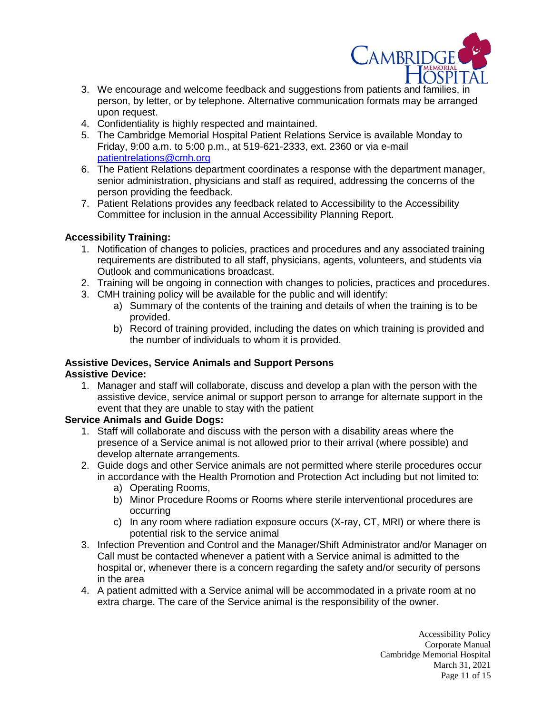

- 3. We encourage and welcome feedback and suggestions from patients and families, in person, by letter, or by telephone. Alternative communication formats may be arranged upon request.
- 4. Confidentiality is highly respected and maintained.
- 5. The Cambridge Memorial Hospital Patient Relations Service is available Monday to Friday, 9:00 a.m. to 5:00 p.m., at 519-621-2333, ext. 2360 or via e-mail [patientrelations@cmh.org](mailto:patientrelations@cmh.org)
- 6. The Patient Relations department coordinates a response with the department manager, senior administration, physicians and staff as required, addressing the concerns of the person providing the feedback.
- 7. Patient Relations provides any feedback related to Accessibility to the Accessibility Committee for inclusion in the annual Accessibility Planning Report.

## **Accessibility Training:**

- 1. Notification of changes to policies, practices and procedures and any associated training requirements are distributed to all staff, physicians, agents, volunteers, and students via Outlook and communications broadcast.
- 2. Training will be ongoing in connection with changes to policies, practices and procedures.
- 3. CMH training policy will be available for the public and will identify:
	- a) Summary of the contents of the training and details of when the training is to be provided.
	- b) Record of training provided, including the dates on which training is provided and the number of individuals to whom it is provided.

#### **Assistive Devices, Service Animals and Support Persons Assistive Device:**

1. Manager and staff will collaborate, discuss and develop a plan with the person with the assistive device, service animal or support person to arrange for alternate support in the event that they are unable to stay with the patient

## **Service Animals and Guide Dogs:**

- 1. Staff will collaborate and discuss with the person with a disability areas where the presence of a Service animal is not allowed prior to their arrival (where possible) and develop alternate arrangements.
- 2. Guide dogs and other Service animals are not permitted where sterile procedures occur in accordance with the Health Promotion and Protection Act including but not limited to:
	- a) Operating Rooms,
	- b) Minor Procedure Rooms or Rooms where sterile interventional procedures are occurring
	- c) In any room where radiation exposure occurs (X-ray, CT, MRI) or where there is potential risk to the service animal
- 3. Infection Prevention and Control and the Manager/Shift Administrator and/or Manager on Call must be contacted whenever a patient with a Service animal is admitted to the hospital or, whenever there is a concern regarding the safety and/or security of persons in the area
- 4. A patient admitted with a Service animal will be accommodated in a private room at no extra charge. The care of the Service animal is the responsibility of the owner.

Accessibility Policy Corporate Manual Cambridge Memorial Hospital March 31, 2021 Page 11 of 15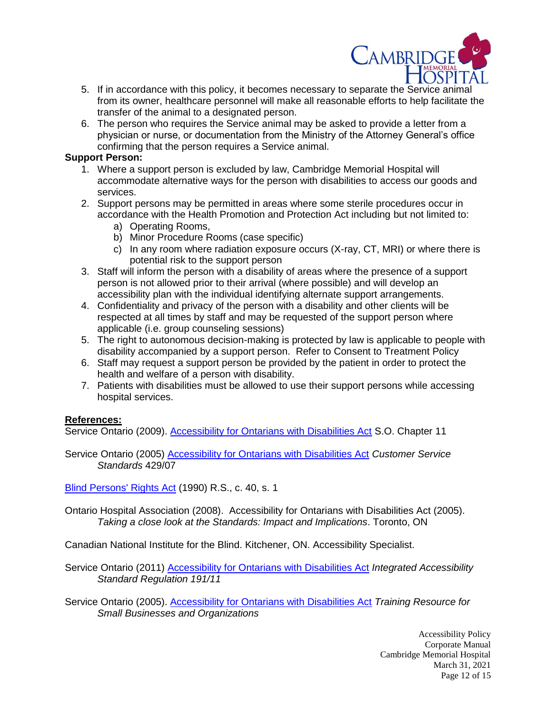

- 5. If in accordance with this policy, it becomes necessary to separate the Service animal from its owner, healthcare personnel will make all reasonable efforts to help facilitate the transfer of the animal to a designated person.
- 6. The person who requires the Service animal may be asked to provide a letter from a physician or nurse, or documentation from the Ministry of the Attorney General's office confirming that the person requires a Service animal.

#### **Support Person:**

- 1. Where a support person is excluded by law, Cambridge Memorial Hospital will accommodate alternative ways for the person with disabilities to access our goods and services.
- 2. Support persons may be permitted in areas where some sterile procedures occur in accordance with the Health Promotion and Protection Act including but not limited to:
	- a) Operating Rooms,
	- b) Minor Procedure Rooms (case specific)
	- c) In any room where radiation exposure occurs (X-ray, CT, MRI) or where there is potential risk to the support person
- 3. Staff will inform the person with a disability of areas where the presence of a support person is not allowed prior to their arrival (where possible) and will develop an accessibility plan with the individual identifying alternate support arrangements.
- 4. Confidentiality and privacy of the person with a disability and other clients will be respected at all times by staff and may be requested of the support person where applicable (i.e. group counseling sessions)
- 5. The right to autonomous decision-making is protected by law is applicable to people with disability accompanied by a support person. Refer to Consent to Treatment Policy
- 6. Staff may request a support person be provided by the patient in order to protect the health and welfare of a person with disability.
- 7. Patients with disabilities must be allowed to use their support persons while accessing hospital services.

## **References:**

Service Ontario (2009). [Accessibility for Ontarians with Disabilities Act](http://www.e-laws.gov.on.ca/html/statutes/english/elaws_statutes_05a11_e.htm) S.O. Chapter 11

Service Ontario (2005) [Accessibility for Ontarians with Disabilities Act](http://www.e-laws.gov.on.ca/html/source/regs/english/2007/elaws_src_regs_r07429_e.htm) *Customer Service Standards* 429/07

[Blind Persons' Rights Act](http://www.e-laws.gov.on.ca/html/statutes/english/elaws_statutes_90b07_e.htm) (1990) R.S., c. 40, s. 1

Ontario Hospital Association (2008). Accessibility for Ontarians with Disabilities Act (2005). *Taking a close look at the Standards: Impact and Implications*. Toronto, ON

Canadian National Institute for the Blind. Kitchener, ON. Accessibility Specialist.

Service Ontario (2011) [Accessibility for Ontarians with Disabilities Act](http://www.e-laws.gov.on.ca/html/source/regs/english/2011/elaws_src_regs_r11191_e.htm) *Integrated Accessibility Standard Regulation 191/11* 

Service Ontario (2005). [Accessibility for Ontarians with Disabilities Act](http://www.aoda.ca/training-resource) *Training Resource for Small Businesses and Organizations*

> Accessibility Policy Corporate Manual Cambridge Memorial Hospital March 31, 2021 Page 12 of 15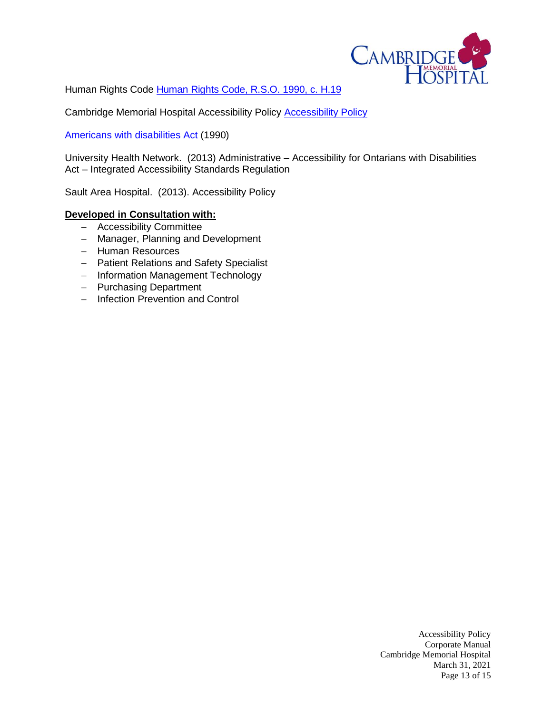

[Human Rights](http://www.e-laws.gov.on.ca/html/statutes/english/elaws_statutes_90h19_e.htm) Code Human Rights Code, R.S.O. 1990, c. H.19

Cambridge Memorial Hospital Accessibility Policy [Accessibility Policy](http://cmhnet/documents/policies/corp/introduction/accessibility_policy_1_05_22.pdf)

[Americans with disabilities Act](http://www.ada.gov/pubs/ada.htm) (1990)

University Health Network. (2013) Administrative – Accessibility for Ontarians with Disabilities Act – Integrated Accessibility Standards Regulation

Sault Area Hospital. (2013). Accessibility Policy

## **Developed in Consultation with:**

- Accessibility Committee
- Manager, Planning and Development
- Human Resources
- Patient Relations and Safety Specialist
- Information Management Technology
- Purchasing Department
- Infection Prevention and Control

Accessibility Policy Corporate Manual Cambridge Memorial Hospital March 31, 2021 Page 13 of 15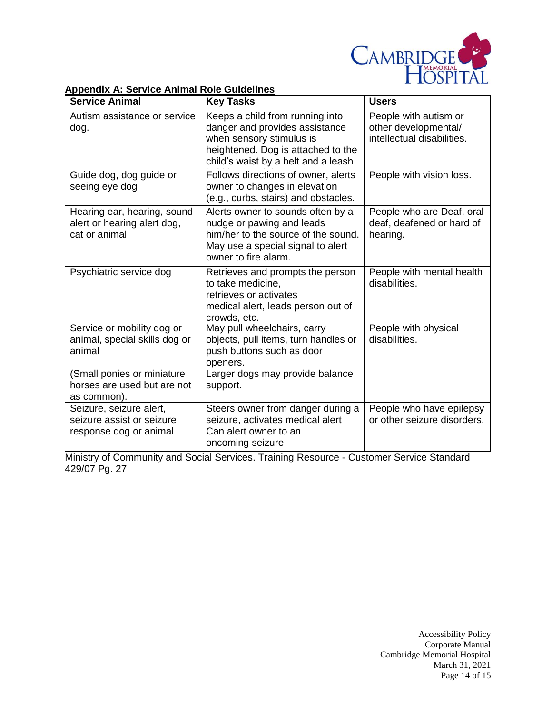

#### **Service Animal Key Tasks Users** Autism assistance or service dog. • Keeps a child from running into danger and provides assistance when sensory stimulus is heightened. Dog is attached to the child's waist by a belt and a leash Follows directions of owner, alerts People with autism or other developmental/ intellectual disabilities. Guide dog, dog guide or seeing eye dog owner to changes in elevation (e.g., curbs, stairs) and obstacles. People with vision loss. Hearing ear, hearing, sound alert or hearing alert dog, cat or animal • Alerts owner to sounds often by a nudge or pawing and leads him/her to the source of the sound. May use a special signal to alert owner to fire alarm. People who are Deaf, oral deaf, deafened or hard of hearing. Psychiatric service dog | Retrieves and prompts the person to take medicine, retrieves or activates medical alert, leads person out of crowds, etc. People with mental health disabilities. Service or mobility dog or animal, special skills dog or animal (Small ponies or miniature horses are used but are not as common). May pull wheelchairs, carry objects, pull items, turn handles or push buttons such as door openers. Larger dogs may provide balance support. People with physical disabilities. Seizure, seizure alert, seizure assist or seizure response dog or animal Steers owner from danger during a seizure, activates medical alert Can alert owner to an oncoming seizure People who have epilepsy or other seizure disorders.

#### **Appendix A: Service Animal Role Guidelines**

Ministry of Community and Social Services. Training Resource - Customer Service Standard 429/07 Pg. 27

> Accessibility Policy Corporate Manual Cambridge Memorial Hospital March 31, 2021 Page 14 of 15